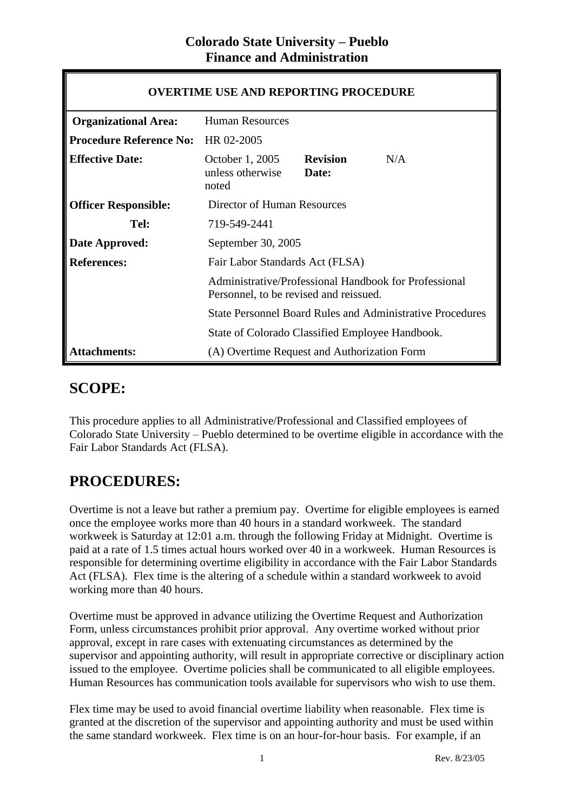| <b>OVERTIME USE AND REPORTING PROCEDURE</b> |                                                                                                                                                                     |  |  |
|---------------------------------------------|---------------------------------------------------------------------------------------------------------------------------------------------------------------------|--|--|
| <b>Organizational Area:</b>                 | <b>Human Resources</b>                                                                                                                                              |  |  |
| <b>Procedure Reference No:</b>              | HR 02-2005                                                                                                                                                          |  |  |
| <b>Effective Date:</b>                      | October 1, 2005<br><b>Revision</b><br>N/A<br>unless otherwise<br>Date:<br>noted                                                                                     |  |  |
| <b>Officer Responsible:</b>                 | Director of Human Resources                                                                                                                                         |  |  |
| Tel:                                        | 719-549-2441                                                                                                                                                        |  |  |
| Date Approved:                              | September 30, 2005                                                                                                                                                  |  |  |
| <b>References:</b>                          | Fair Labor Standards Act (FLSA)                                                                                                                                     |  |  |
|                                             | Administrative/Professional Handbook for Professional<br>Personnel, to be revised and reissued.<br><b>State Personnel Board Rules and Administrative Procedures</b> |  |  |
|                                             |                                                                                                                                                                     |  |  |
|                                             | State of Colorado Classified Employee Handbook.                                                                                                                     |  |  |
| <b>Attachments:</b>                         | (A) Overtime Request and Authorization Form                                                                                                                         |  |  |

#### **SCOPE:**

This procedure applies to all Administrative/Professional and Classified employees of Colorado State University – Pueblo determined to be overtime eligible in accordance with the Fair Labor Standards Act (FLSA).

### **PROCEDURES:**

Overtime is not a leave but rather a premium pay. Overtime for eligible employees is earned once the employee works more than 40 hours in a standard workweek. The standard workweek is Saturday at 12:01 a.m. through the following Friday at Midnight. Overtime is paid at a rate of 1.5 times actual hours worked over 40 in a workweek. Human Resources is responsible for determining overtime eligibility in accordance with the Fair Labor Standards Act (FLSA). Flex time is the altering of a schedule within a standard workweek to avoid working more than 40 hours.

Overtime must be approved in advance utilizing the Overtime Request and Authorization Form, unless circumstances prohibit prior approval. Any overtime worked without prior approval, except in rare cases with extenuating circumstances as determined by the supervisor and appointing authority, will result in appropriate corrective or disciplinary action issued to the employee. Overtime policies shall be communicated to all eligible employees. Human Resources has communication tools available for supervisors who wish to use them.

Flex time may be used to avoid financial overtime liability when reasonable. Flex time is granted at the discretion of the supervisor and appointing authority and must be used within the same standard workweek. Flex time is on an hour-for-hour basis. For example, if an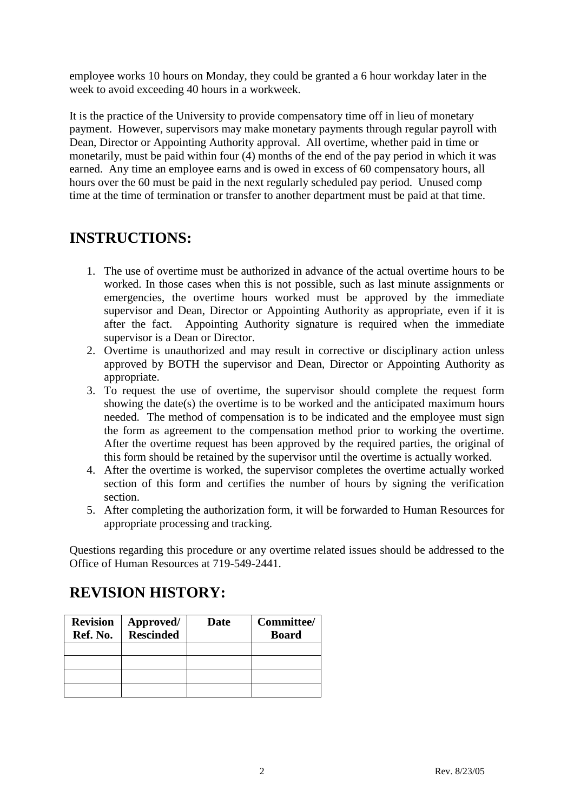employee works 10 hours on Monday, they could be granted a 6 hour workday later in the week to avoid exceeding 40 hours in a workweek.

It is the practice of the University to provide compensatory time off in lieu of monetary payment. However, supervisors may make monetary payments through regular payroll with Dean, Director or Appointing Authority approval. All overtime, whether paid in time or monetarily, must be paid within four (4) months of the end of the pay period in which it was earned. Any time an employee earns and is owed in excess of 60 compensatory hours, all hours over the 60 must be paid in the next regularly scheduled pay period. Unused comp time at the time of termination or transfer to another department must be paid at that time.

## **INSTRUCTIONS:**

- 1. The use of overtime must be authorized in advance of the actual overtime hours to be worked. In those cases when this is not possible, such as last minute assignments or emergencies, the overtime hours worked must be approved by the immediate supervisor and Dean, Director or Appointing Authority as appropriate, even if it is after the fact. Appointing Authority signature is required when the immediate supervisor is a Dean or Director.
- 2. Overtime is unauthorized and may result in corrective or disciplinary action unless approved by BOTH the supervisor and Dean, Director or Appointing Authority as appropriate.
- 3. To request the use of overtime, the supervisor should complete the request form showing the date(s) the overtime is to be worked and the anticipated maximum hours needed. The method of compensation is to be indicated and the employee must sign the form as agreement to the compensation method prior to working the overtime. After the overtime request has been approved by the required parties, the original of this form should be retained by the supervisor until the overtime is actually worked.
- 4. After the overtime is worked, the supervisor completes the overtime actually worked section of this form and certifies the number of hours by signing the verification section.
- 5. After completing the authorization form, it will be forwarded to Human Resources for appropriate processing and tracking.

Questions regarding this procedure or any overtime related issues should be addressed to the Office of Human Resources at 719-549-2441.

### **REVISION HISTORY:**

| <b>Revision</b><br>Ref. No. | Approved/<br><b>Rescinded</b> | Date | Committee/<br><b>Board</b> |
|-----------------------------|-------------------------------|------|----------------------------|
|                             |                               |      |                            |
|                             |                               |      |                            |
|                             |                               |      |                            |
|                             |                               |      |                            |